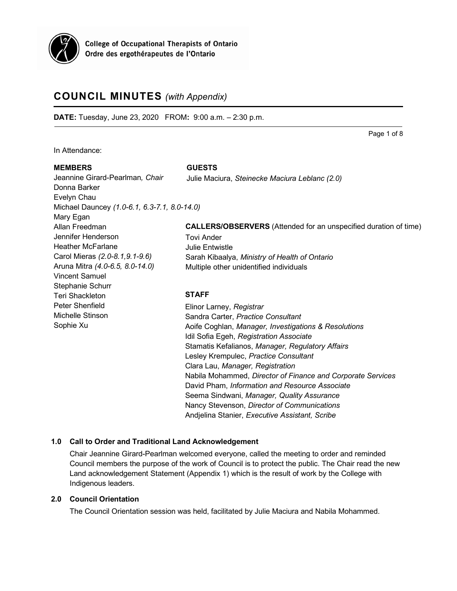

**College of Occupational Therapists of Ontario** Ordre des ergothérapeutes de l'Ontario

# **COUNCIL MINUTES** *(with Appendix)*

**DATE:** Tuesday, June 23, 2020 FROM**:** 9:00 a.m. – 2:30 p.m.

Page 1 of 8

In Attendance:

#### **MEMBERS**

**STAFF** Elinor Larney, *Registrar* Sandra Carter, *Practice Consultant* Aoife Coghlan, *Manager, Investigations & Resolutions* Idil Sofia Egeh, *Registration Associate* Stamatis Kefalianos, *Manager, Regulatory Affairs* Lesley Krempulec, *Practice Consultant* Clara Lau, *Manager, Registration* Nabila Mohammed, *Director of Finance and Corporate Services* David Pham, *Information and Resource Associate* Seema Sindwani, *Manager, Quality Assurance* Nancy Stevenson, *Director of Communications* Jeannine Girard-Pearlman*, Chair* Donna Barker Evelyn Chau Michael Dauncey *(1.0-6.1, 6.3-7.1, 8.0-14.0)* Mary Egan Allan Freedman Jennifer Henderson Heather McFarlane Carol Mieras *(2.0-8.1,9.1-9.6)* Aruna Mitra *(4.0-6.5, 8.0-14.0)* Vincent Samuel Stephanie Schurr Teri Shackleton Peter Shenfield Michelle Stinson Sophie Xu **CALLERS/OBSERVERS** (Attended for an unspecified duration of time) Tovi Ander Julie Entwistle Sarah Kibaalya, *Ministry of Health of Ontario* Multiple other unidentified individuals **GUESTS** Julie Maciura, *Steinecke Maciura Leblanc (2.0)*

Andjelina Stanier, *Executive Assistant, Scribe*

# **1.0 Call to Order and Traditional Land Acknowledgement**

Chair Jeannine Girard-Pearlman welcomed everyone, called the meeting to order and reminded Council members the purpose of the work of Council is to protect the public. The Chair read the new Land acknowledgement Statement (Appendix 1) which is the result of work by the College with Indigenous leaders.

# **2.0 Council Orientation**

The Council Orientation session was held, facilitated by Julie Maciura and Nabila Mohammed.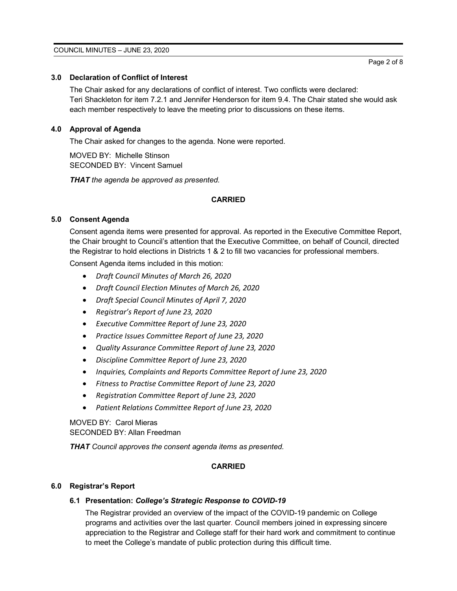## **3.0 Declaration of Conflict of Interest**

The Chair asked for any declarations of conflict of interest. Two conflicts were declared: Teri Shackleton for item 7.2.1 and Jennifer Henderson for item 9.4. The Chair stated she would ask each member respectively to leave the meeting prior to discussions on these items.

# **4.0 Approval of Agenda**

The Chair asked for changes to the agenda. None were reported.

MOVED BY: Michelle Stinson SECONDED BY: Vincent Samuel

*THAT the agenda be approved as presented.*

# **CARRIED**

# **5.0 Consent Agenda**

Consent agenda items were presented for approval. As reported in the Executive Committee Report, the Chair brought to Council's attention that the Executive Committee, on behalf of Council, directed the Registrar to hold elections in Districts 1 & 2 to fill two vacancies for professional members.

Consent Agenda items included in this motion:

- *Draft Council Minutes of March 26, 2020*
- *Draft Council Election Minutes of March 26, 2020*
- *Draft Special Council Minutes of April 7, 2020*
- *Registrar's Report of June 23, 2020*
- *Executive Committee Report of June 23, 2020*
- *Practice Issues Committee Report of June 23, 2020*
- *Quality Assurance Committee Report of June 23, 2020*
- *Discipline Committee Report of June 23, 2020*
- *Inquiries, Complaints and Reports Committee Report of June 23, 2020*
- *Fitness to Practise Committee Report of June 23, 2020*
- *Registration Committee Report of June 23, 2020*
- *Patient Relations Committee Report of June 23, 2020*

MOVED BY: Carol Mieras SECONDED BY: Allan Freedman

*THAT Council approves the consent agenda items as presented.*

# **CARRIED**

#### **6.0 Registrar's Report**

#### **6.1 Presentation:** *College's Strategic Response to COVID-19*

The Registrar provided an overview of the impact of the COVID-19 pandemic on College programs and activities over the last quarter. Council members joined in expressing sincere appreciation to the Registrar and College staff for their hard work and commitment to continue to meet the College's mandate of public protection during this difficult time.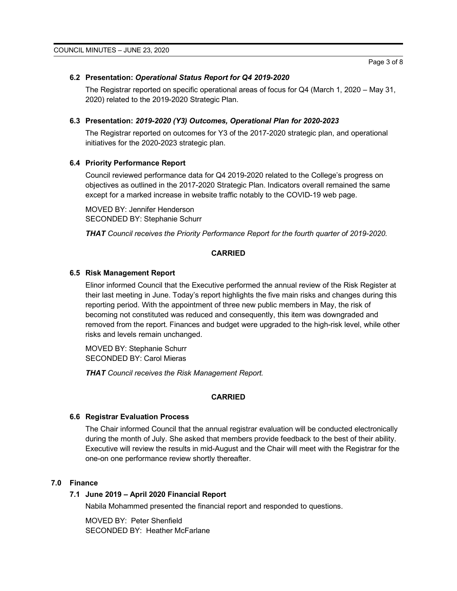#### **6.2 Presentation:** *Operational Status Report for Q4 2019-2020*

The Registrar reported on specific operational areas of focus for Q4 (March 1, 2020 – May 31, 2020) related to the 2019-2020 Strategic Plan.

#### **6.3 Presentation:** *2019-2020 (Y3) Outcomes, Operational Plan for 2020-2023*

The Registrar reported on outcomes for Y3 of the 2017-2020 strategic plan, and operational initiatives for the 2020-2023 strategic plan.

#### **6.4 Priority Performance Report**

Council reviewed performance data for Q4 2019-2020 related to the College's progress on objectives as outlined in the 2017-2020 Strategic Plan. Indicators overall remained the same except for a marked increase in website traffic notably to the COVID-19 web page.

MOVED BY: Jennifer Henderson SECONDED BY: Stephanie Schurr

*THAT Council receives the Priority Performance Report for the fourth quarter of 2019-2020.*

#### **CARRIED**

#### **6.5 Risk Management Report**

Elinor informed Council that the Executive performed the annual review of the Risk Register at their last meeting in June. Today's report highlights the five main risks and changes during this reporting period. With the appointment of three new public members in May, the risk of becoming not constituted was reduced and consequently, this item was downgraded and removed from the report. Finances and budget were upgraded to the high-risk level, while other risks and levels remain unchanged.

MOVED BY: Stephanie Schurr SECONDED BY: Carol Mieras

*THAT Council receives the Risk Management Report.*

#### **CARRIED**

#### **6.6 Registrar Evaluation Process**

The Chair informed Council that the annual registrar evaluation will be conducted electronically during the month of July. She asked that members provide feedback to the best of their ability. Executive will review the results in mid-August and the Chair will meet with the Registrar for the one-on one performance review shortly thereafter.

#### **7.0 Finance**

#### **7.1 June 2019 – April 2020 Financial Report**

Nabila Mohammed presented the financial report and responded to questions.

MOVED BY: Peter Shenfield SECONDED BY: Heather McFarlane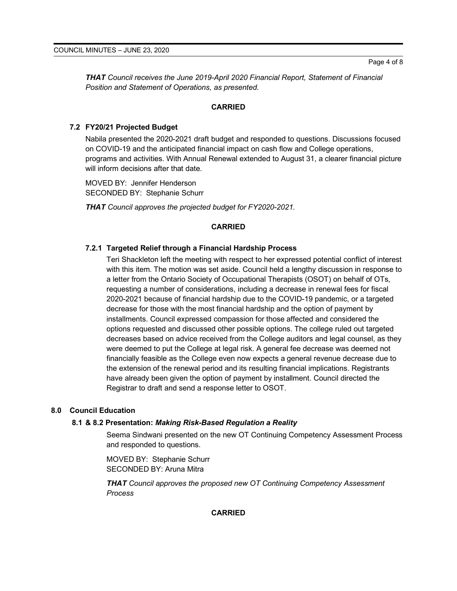*THAT Council receives the June 2019-April 2020 Financial Report, Statement of Financial Position and Statement of Operations, as presented.*

# **CARRIED**

# **7.2 FY20/21 Projected Budget**

Nabila presented the 2020-2021 draft budget and responded to questions. Discussions focused on COVID-19 and the anticipated financial impact on cash flow and College operations, programs and activities. With Annual Renewal extended to August 31, a clearer financial picture will inform decisions after that date.

MOVED BY: Jennifer Henderson SECONDED BY: Stephanie Schurr

*THAT Council approves the projected budget for FY2020-2021.*

# **CARRIED**

# **7.2.1 Targeted Relief through a Financial Hardship Process**

Teri Shackleton left the meeting with respect to her expressed potential conflict of interest with this item. The motion was set aside. Council held a lengthy discussion in response to a letter from the Ontario Society of Occupational Therapists (OSOT) on behalf of OTs, requesting a number of considerations, including a decrease in renewal fees for fiscal 2020-2021 because of financial hardship due to the COVID-19 pandemic, or a targeted decrease for those with the most financial hardship and the option of payment by installments. Council expressed compassion for those affected and considered the options requested and discussed other possible options. The college ruled out targeted decreases based on advice received from the College auditors and legal counsel, as they were deemed to put the College at legal risk. A general fee decrease was deemed not financially feasible as the College even now expects a general revenue decrease due to the extension of the renewal period and its resulting financial implications. Registrants have already been given the option of payment by installment. Council directed the Registrar to draft and send a response letter to OSOT.

#### **8.0 Council Education**

#### **8.1 & 8.2 Presentation:** *Making Risk-Based Regulation a Reality*

Seema Sindwani presented on the new OT Continuing Competency Assessment Process and responded to questions.

MOVED BY: Stephanie Schurr SECONDED BY: Aruna Mitra

*THAT Council approves the proposed new OT Continuing Competency Assessment Process*

#### **CARRIED**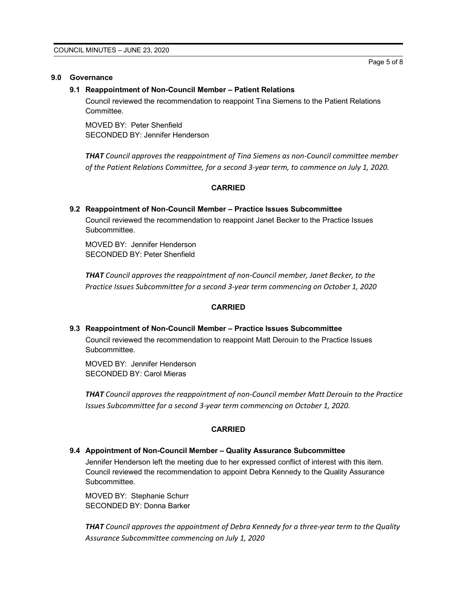#### **9.0 Governance**

#### **9.1 Reappointment of Non-Council Member – Patient Relations**

Council reviewed the recommendation to reappoint Tina Siemens to the Patient Relations Committee.

MOVED BY: Peter Shenfield SECONDED BY: Jennifer Henderson

*THAT Council approves the reappointment of Tina Siemens as non-Council committee member of the Patient Relations Committee, for a second 3-year term, to commence on July 1, 2020.*

#### **CARRIED**

# **9.2 Reappointment of Non-Council Member – Practice Issues Subcommittee** Council reviewed the recommendation to reappoint Janet Becker to the Practice Issues

Subcommittee.

MOVED BY: Jennifer Henderson SECONDED BY: Peter Shenfield

*THAT Council approves the reappointment of non-Council member, Janet Becker, to the Practice Issues Subcommittee for a second 3-year term commencing on October 1, 2020*

#### **CARRIED**

#### **9.3 Reappointment of Non-Council Member – Practice Issues Subcommittee**

Council reviewed the recommendation to reappoint Matt Derouin to the Practice Issues **Subcommittee.** 

MOVED BY: Jennifer Henderson SECONDED BY: Carol Mieras

*THAT Council approves the reappointment of non-Council member Matt Derouin to the Practice Issues Subcommittee for a second 3-year term commencing on October 1, 2020.*

#### **CARRIED**

#### **9.4 Appointment of Non-Council Member – Quality Assurance Subcommittee**

Jennifer Henderson left the meeting due to her expressed conflict of interest with this item. Council reviewed the recommendation to appoint Debra Kennedy to the Quality Assurance Subcommittee.

MOVED BY: Stephanie Schurr SECONDED BY: Donna Barker

*THAT Council approves the appointment of Debra Kennedy for a three-year term to the Quality Assurance Subcommittee commencing on July 1, 2020*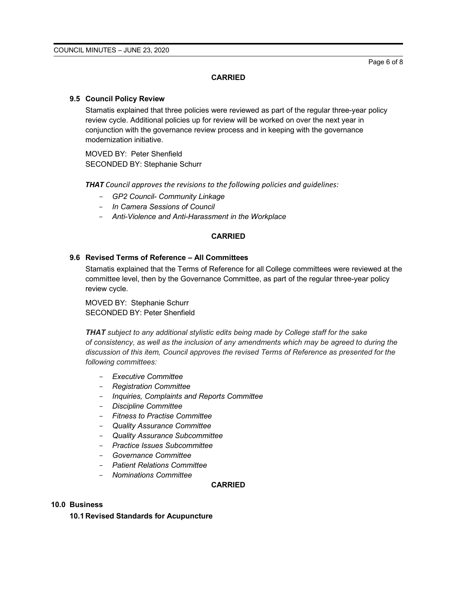Page 6 of 8

## **CARRIED**

## **9.5 Council Policy Review**

Stamatis explained that three policies were reviewed as part of the regular three-year policy review cycle. Additional policies up for review will be worked on over the next year in conjunction with the governance review process and in keeping with the governance modernization initiative.

MOVED BY: Peter Shenfield SECONDED BY: Stephanie Schurr

*THAT Council approves the revisions to the following policies and guidelines:*

- *GP2 Council- Community Linkage*
- *In Camera Sessions of Council*
- *Anti-Violence and Anti-Harassment in the Workplace*

# **CARRIED**

# **9.6 Revised Terms of Reference – All Committees**

Stamatis explained that the Terms of Reference for all College committees were reviewed at the committee level, then by the Governance Committee, as part of the regular three-year policy review cycle.

MOVED BY: Stephanie Schurr SECONDED BY: Peter Shenfield

*THAT subject to any additional stylistic edits being made by College staff for the sake of consistency, as well as the inclusion of any amendments which may be agreed to during the discussion of this item, Council approves the revised Terms of Reference as presented for the following committees:* 

- *Executive Committee*
- *Registration Committee*
- *Inquiries, Complaints and Reports Committee*
- *Discipline Committee*
- *Fitness to Practise Committee*
- *Quality Assurance Committee*
- *Quality Assurance Subcommittee*
- *Practice Issues Subcommittee*
- *Governance Committee*
- *Patient Relations Committee*
- *Nominations Committee*

# **CARRIED**

# **10.0 Business**

**10.1 Revised Standards for Acupuncture**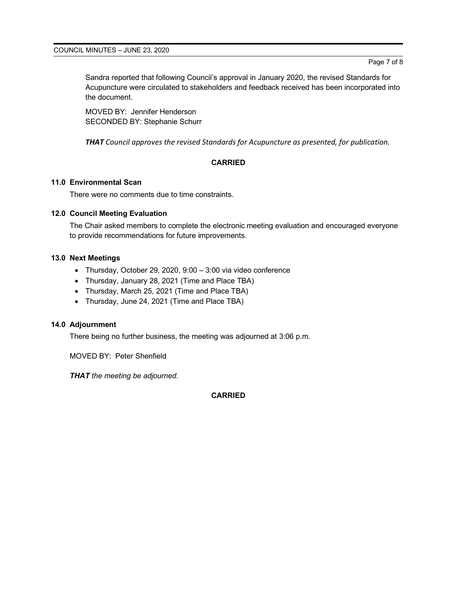Sandra reported that following Council's approval in January 2020, the revised Standards for Acupuncture were circulated to stakeholders and feedback received has been incorporated into the document.

MOVED BY: Jennifer Henderson SECONDED BY: Stephanie Schurr

*THAT Council approves the revised Standards for Acupuncture as presented, for publication.*

# **CARRIED**

# **11.0 Environmental Scan**

There were no comments due to time constraints.

# **12.0 Council Meeting Evaluation**

The Chair asked members to complete the electronic meeting evaluation and encouraged everyone to provide recommendations for future improvements.

# **13.0 Next Meetings**

- Thursday, October 29, 2020, 9:00 3:00 via video conference
- Thursday, January 28, 2021 (Time and Place TBA)
- Thursday, March 25, 2021 (Time and Place TBA)
- Thursday, June 24, 2021 (Time and Place TBA)

# **14.0 Adjournment**

There being no further business, the meeting was adjourned at 3:06 p.m.

MOVED BY: Peter Shenfield

*THAT the meeting be adjourned.*

**CARRIED**